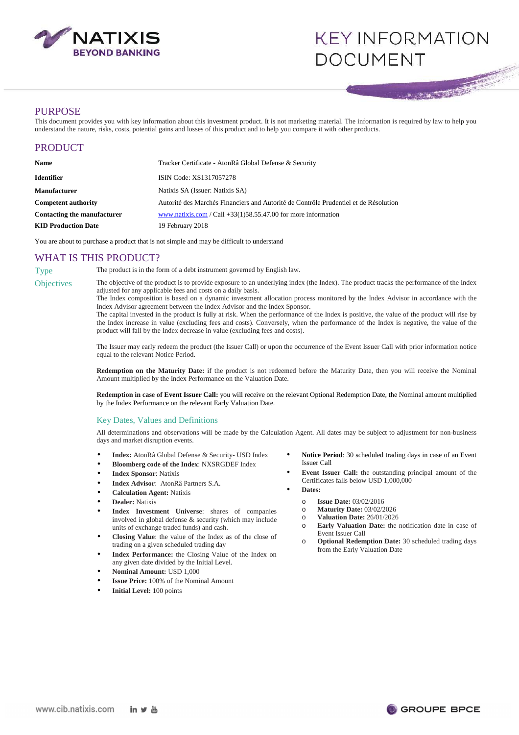

# **KEY INFORMATION DOCUMENT**

# **PURPOSE**

This document provides you with key information about this investment product. It is not marketing material. The information is required by law to help you understand the nature, risks, costs, potential gains and losses of this product and to help you compare it with other products.

| PRODUCT |  |  |
|---------|--|--|
|         |  |  |

| <b>Name</b>                 | Tracker Certificate - AtonRâ Global Defense & Security                               |  |
|-----------------------------|--------------------------------------------------------------------------------------|--|
| Identifier                  | ISIN Code: XS1317057278                                                              |  |
| Manufacturer                | Natixis SA (Issuer: Natixis SA)                                                      |  |
| <b>Competent authority</b>  | Autorité des Marchés Financiers and Autorité de Contrôle Prudentiel et de Résolution |  |
| Contacting the manufacturer | www.natixis.com / Call +33(1)58.55.47.00 for more information                        |  |
| <b>KID Production Date</b>  | 19 February 2018                                                                     |  |

You are about to purchase a product that is not simple and may be difficult to understand

# WHAT IS THIS PRODUCT?

Type The product is in the form of a debt instrument governed by English law.

Objectives The objective of the product is to provide exposure to an underlying index (the Index). The product tracks the performance of the Index adjusted for any applicable fees and costs on a daily basis.

The Index composition is based on a dynamic investment allocation process monitored by the Index Advisor in accordance with the Index Advisor agreement between the Index Advisor and the Index Sponsor.

The capital invested in the product is fully at risk. When the performance of the Index is positive, the value of the product will rise by the Index increase in value (excluding fees and costs). Conversely, when the performance of the Index is negative, the value of the product will fall by the Index decrease in value (excluding fees and costs).

The Issuer may early redeem the product (the Issuer Call) or upon the occurrence of the Event Issuer Call with prior information notice equal to the relevant Notice Period.

**Redemption on the Maturity Date:** if the product is not redeemed before the Maturity Date, then you will receive the Nominal Amount multiplied by the Index Performance on the Valuation Date.

**Redemption in case of Event Issuer Call:** you will receive on the relevant Optional Redemption Date, the Nominal amount multiplied by the Index Performance on the relevant Early Valuation Date.

#### Key Dates, Values and Definitions

All determinations and observations will be made by the Calculation Agent. All dates may be subject to adjustment for non-business days and market disruption events.

- **Index:** AtonRâ Global Defense & Security- USD Index
- **Bloomberg code of the Index**: NXSRGDEF Index
- **Index Sponsor**: Natixis
- **Index Advisor**: AtonRâ Partners S.A.
- **Calculation Agent:** Natixis
- **Dealer:** Natixis
- **Index Investment Universe**: shares of companies involved in global defense & security (which may include units of exchange traded funds) and cash.
- **Closing Value**: the value of the Index as of the close of trading on a given scheduled trading day
- **Index Performance:** the Closing Value of the Index on any given date divided by the Initial Level.
- **Nominal Amount:** USD 1,000
- **Issue Price:** 100% of the Nominal Amount
- **Initial Level:** 100 points
- **Notice Period**: 30 scheduled trading days in case of an Event Issuer Call
- **Event Issuer Call:** the outstanding principal amount of the Certificates falls below USD 1,000,000
- **Dates:**
	- o **Issue Date:** 03/02/2016
	- o **Maturity Date:** 03/02/2026
	- o **Valuation Date:** 26/01/2026
	- o **Early Valuation Date:** the notification date in case of Event Issuer Call
	- o **Optional Redemption Date:** 30 scheduled trading days from the Early Valuation Date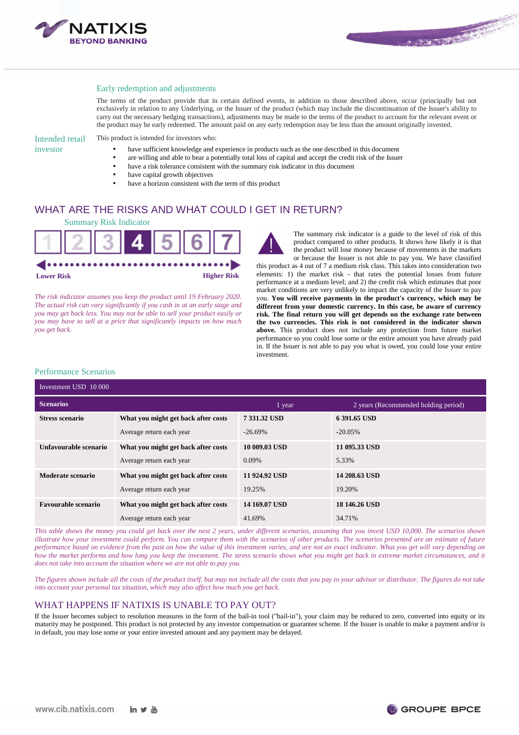

### Early redemption and adjustments

The terms of the product provide that in certain defined events, in addition to those described above, occur (principally but not exclusively in relation to any Underlying, or the Issuer of the product (which may include the discontinuation of the Issuer's ability to carry out the necessary hedging transactions), adjustments may be made to the terms of the product to account for the relevant event or the product may be early redeemed. The amount paid on any early redemption may be less than the amount originally invested.

Intended retail investor

This product is intended for investors who:

- have sufficient knowledge and experience in products such as the one described in this document
- are willing and able to bear a potentially total loss of capital and accept the credit risk of the Issuer
- have a risk tolerance consistent with the summary risk indicator in this document
- have capital growth objectives
- have a horizon consistent with the term of this product

# WHAT ARE THE RISKS AND WHAT COULD I GET IN RETURN?



*The risk indicator assumes you keep the product until 19 February 2020. The actual risk can vary significantly if you cash in at an early stage and you may get back less. You may not be able to sell your product easily or you may have to sell at a price that significantly impacts on how much you get back.* 

The summary risk indicator is a guide to the level of risk of this product compared to other products. It shows how likely it is that the product will lose money because of movements in the markets or because the Issuer is not able to pay you. We have classified this product as 4 out of 7 a medium risk class. This takes into consideration two elements: 1) the market risk - that rates the potential losses from future performance at a medium level; and 2) the credit risk which estimates that poor

market conditions are very unlikely to impact the capacity of the Issuer to pay you. **You will receive payments in the product's currency, which may be different from your domestic currency. In this case, be aware of currency risk. The final return you will get depends on the exchange rate between the two currencies. This risk is not considered in the indicator shown above.** This product does not include any protection from future market performance so you could lose some or the entire amount you have already paid in. If the Issuer is not able to pay you what is owed, you could lose your entire investment.

#### Performance Scenarios

| Investment USD 10 000      |                                     |               |                                      |
|----------------------------|-------------------------------------|---------------|--------------------------------------|
| <b>Scenarios</b>           |                                     | 1 year        | 2 years (Recommended holding period) |
| <b>Stress scenario</b>     | What you might get back after costs | 7 331.32 USD  | 6 391.65 USD                         |
|                            | Average return each year            | $-26.69%$     | $-20.05\%$                           |
| Unfavourable scenario      | What you might get back after costs | 10 009.03 USD | 11 095.33 USD                        |
|                            | Average return each year            | 0.09%         | 5.33%                                |
| Moderate scenario          | What you might get back after costs | 11 924.92 USD | 14 208.63 USD                        |
|                            | Average return each year            | 19.25%        | 19.20%                               |
| <b>Favourable scenario</b> | What you might get back after costs | 14 169.07 USD | 18 146.26 USD                        |
|                            | Average return each year            | 41.69%        | 34.71%                               |

*This table shows the money you could get back over the next 2 years, under different scenarios, assuming that you invest USD 10,000. The scenarios shown illustrate how your investment could perform. You can compare them with the scenarios of other products. The scenarios presented are an estimate of future performance based on evidence from the past on how the value of this investment varies, and are not an exact indicator. What you get will vary depending on how the market performs and how long you keep the investment. The stress scenario shows what you might get back in extreme market circumstances, and it does not take into account the situation where we are not able to pay you.* 

*The figures shown include all the costs of the product itself, but may not include all the costs that you pay to your advisor or distributor. The figures do not take into account your personal tax situation, which may also affect how much you get back.* 

# WHAT HAPPENS IF NATIXIS IS UNABLE TO PAY OUT?

If the Issuer becomes subject to resolution measures in the form of the bail-in tool ("bail-in"), your claim may be reduced to zero, converted into equity or its maturity may be postponed. This product is not protected by any investor compensation or guarantee scheme. If the Issuer is unable to make a payment and/or is in default, you may lose some or your entire invested amount and any payment may be delayed.